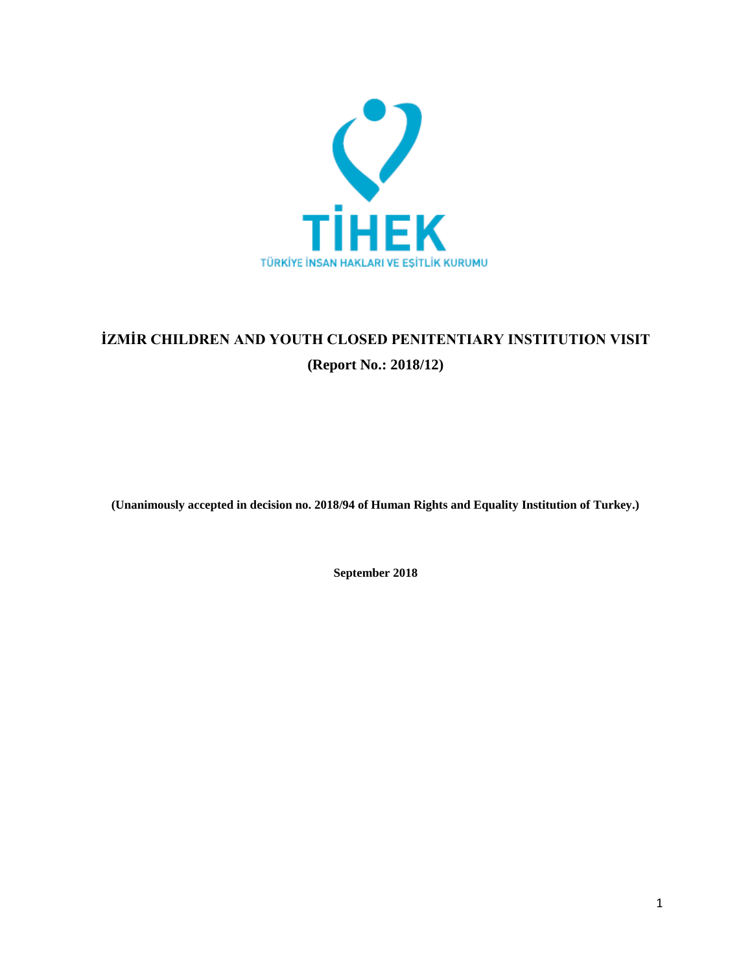

# **İZMİR CHILDREN AND YOUTH CLOSED PENITENTIARY INSTITUTION VISIT (Report No.: 2018/12)**

**(Unanimously accepted in decision no. 2018/94 of Human Rights and Equality Institution of Turkey.)**

**September 2018**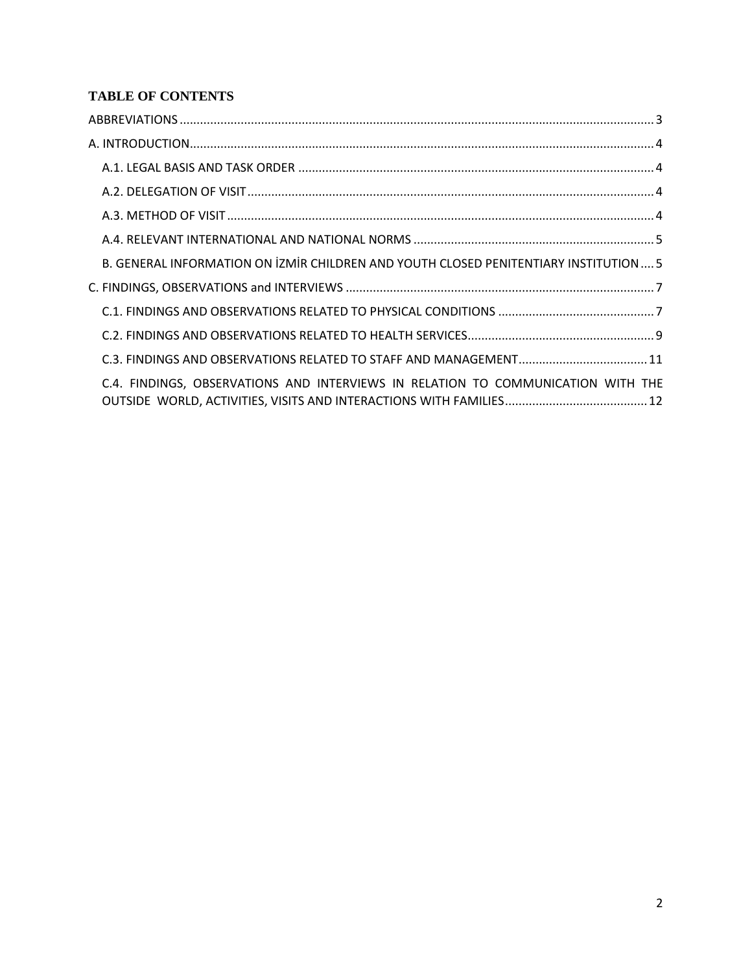## **TABLE OF CONTENTS**

| B. GENERAL INFORMATION ON İZMİR CHILDREN AND YOUTH CLOSED PENITENTIARY INSTITUTION 5 |  |
|--------------------------------------------------------------------------------------|--|
|                                                                                      |  |
|                                                                                      |  |
|                                                                                      |  |
|                                                                                      |  |
| C.4. FINDINGS, OBSERVATIONS AND INTERVIEWS IN RELATION TO COMMUNICATION WITH THE     |  |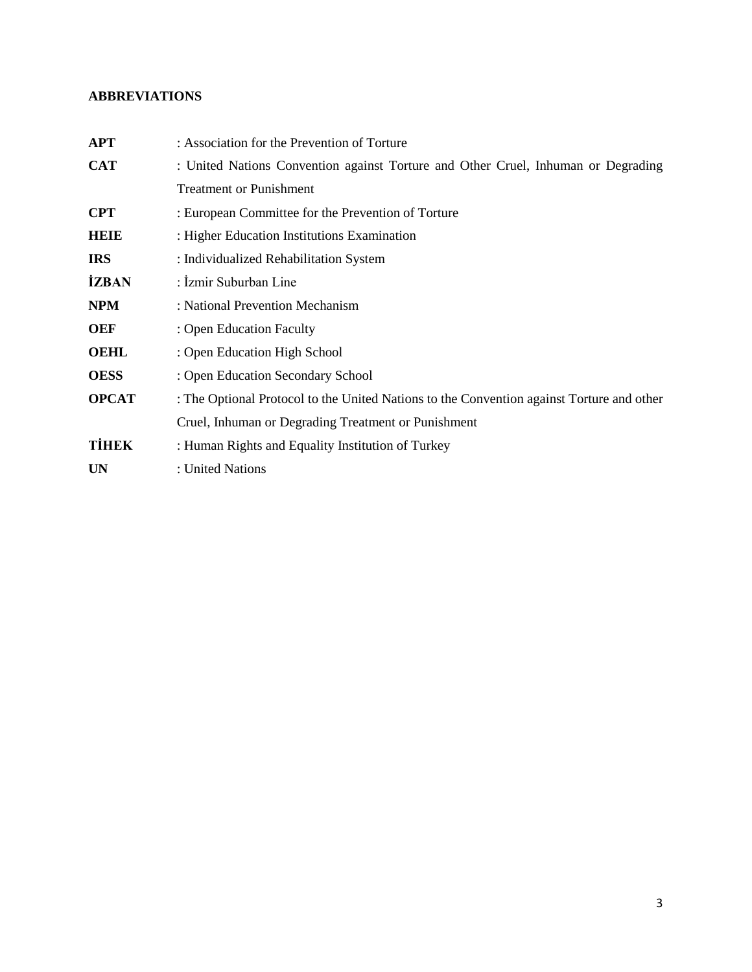## <span id="page-2-0"></span>**ABBREVIATIONS**

| <b>APT</b>   | : Association for the Prevention of Torture                                               |
|--------------|-------------------------------------------------------------------------------------------|
| <b>CAT</b>   | : United Nations Convention against Torture and Other Cruel, Inhuman or Degrading         |
|              | <b>Treatment or Punishment</b>                                                            |
| <b>CPT</b>   | : European Committee for the Prevention of Torture                                        |
| HEIE         | : Higher Education Institutions Examination                                               |
| <b>IRS</b>   | : Individualized Rehabilitation System                                                    |
| <b>İZBAN</b> | : İzmir Suburban Line                                                                     |
| <b>NPM</b>   | : National Prevention Mechanism                                                           |
| OEF          | : Open Education Faculty                                                                  |
| <b>OEHL</b>  | : Open Education High School                                                              |
| <b>OESS</b>  | : Open Education Secondary School                                                         |
| <b>OPCAT</b> | : The Optional Protocol to the United Nations to the Convention against Torture and other |
|              | Cruel, Inhuman or Degrading Treatment or Punishment                                       |
| <b>TİHEK</b> | : Human Rights and Equality Institution of Turkey                                         |
| <b>UN</b>    | : United Nations                                                                          |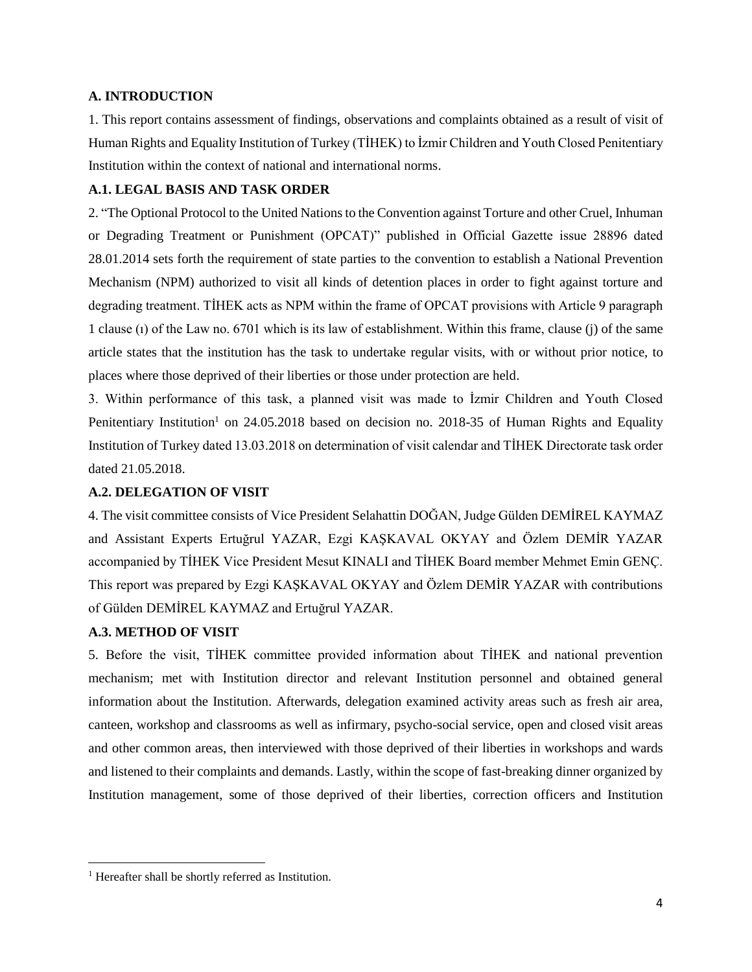## <span id="page-3-0"></span>**A. INTRODUCTION**

1. This report contains assessment of findings, observations and complaints obtained as a result of visit of Human Rights and Equality Institution of Turkey (TİHEK) to İzmir Children and Youth Closed Penitentiary Institution within the context of national and international norms.

## <span id="page-3-1"></span>**A.1. LEGAL BASIS AND TASK ORDER**

2. "The Optional Protocol to the United Nations to the Convention against Torture and other Cruel, Inhuman or Degrading Treatment or Punishment (OPCAT)" published in Official Gazette issue 28896 dated 28.01.2014 sets forth the requirement of state parties to the convention to establish a National Prevention Mechanism (NPM) authorized to visit all kinds of detention places in order to fight against torture and degrading treatment. TİHEK acts as NPM within the frame of OPCAT provisions with Article 9 paragraph 1 clause (ı) of the Law no. 6701 which is its law of establishment. Within this frame, clause (j) of the same article states that the institution has the task to undertake regular visits, with or without prior notice, to places where those deprived of their liberties or those under protection are held.

3. Within performance of this task, a planned visit was made to İzmir Children and Youth Closed Penitentiary Institution<sup>1</sup> on  $24.05.2018$  based on decision no. 2018-35 of Human Rights and Equality Institution of Turkey dated 13.03.2018 on determination of visit calendar and TİHEK Directorate task order dated 21.05.2018.

## <span id="page-3-2"></span>**A.2. DELEGATION OF VISIT**

4. The visit committee consists of Vice President Selahattin DOĞAN, Judge Gülden DEMİREL KAYMAZ and Assistant Experts Ertuğrul YAZAR, Ezgi KAŞKAVAL OKYAY and Özlem DEMİR YAZAR accompanied by TİHEK Vice President Mesut KINALI and TİHEK Board member Mehmet Emin GENÇ. This report was prepared by Ezgi KAŞKAVAL OKYAY and Özlem DEMİR YAZAR with contributions of Gülden DEMİREL KAYMAZ and Ertuğrul YAZAR.

## <span id="page-3-3"></span>**A.3. METHOD OF VISIT**

 $\overline{\phantom{a}}$ 

5. Before the visit, TİHEK committee provided information about TİHEK and national prevention mechanism; met with Institution director and relevant Institution personnel and obtained general information about the Institution. Afterwards, delegation examined activity areas such as fresh air area, canteen, workshop and classrooms as well as infirmary, psycho-social service, open and closed visit areas and other common areas, then interviewed with those deprived of their liberties in workshops and wards and listened to their complaints and demands. Lastly, within the scope of fast-breaking dinner organized by Institution management, some of those deprived of their liberties, correction officers and Institution

<sup>&</sup>lt;sup>1</sup> Hereafter shall be shortly referred as Institution.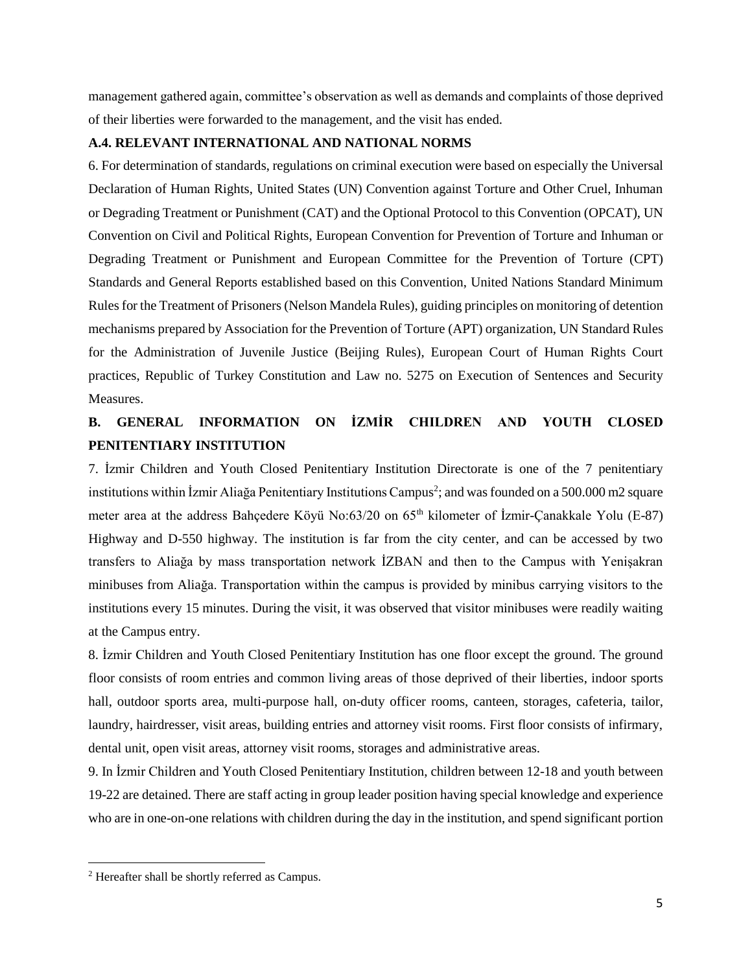management gathered again, committee's observation as well as demands and complaints of those deprived of their liberties were forwarded to the management, and the visit has ended.

## <span id="page-4-0"></span>**A.4. RELEVANT INTERNATIONAL AND NATIONAL NORMS**

6. For determination of standards, regulations on criminal execution were based on especially the Universal Declaration of Human Rights, United States (UN) Convention against Torture and Other Cruel, Inhuman or Degrading Treatment or Punishment (CAT) and the Optional Protocol to this Convention (OPCAT), UN Convention on Civil and Political Rights, European Convention for Prevention of Torture and Inhuman or Degrading Treatment or Punishment and European Committee for the Prevention of Torture (CPT) Standards and General Reports established based on this Convention, United Nations Standard Minimum Rules for the Treatment of Prisoners (Nelson Mandela Rules), guiding principles on monitoring of detention mechanisms prepared by Association for the Prevention of Torture (APT) organization, UN Standard Rules for the Administration of Juvenile Justice (Beijing Rules), European Court of Human Rights Court practices, Republic of Turkey Constitution and Law no. 5275 on Execution of Sentences and Security Measures.

## <span id="page-4-1"></span>**B. GENERAL INFORMATION ON İZMİR CHILDREN AND YOUTH CLOSED PENITENTIARY INSTITUTION**

7. İzmir Children and Youth Closed Penitentiary Institution Directorate is one of the 7 penitentiary institutions within İzmir Aliağa Penitentiary Institutions Campus<sup>2</sup>; and was founded on a 500.000 m2 square meter area at the address Bahçedere Köyü No:63/20 on 65<sup>th</sup> kilometer of İzmir-Çanakkale Yolu (E-87) Highway and D-550 highway. The institution is far from the city center, and can be accessed by two transfers to Aliağa by mass transportation network İZBAN and then to the Campus with Yenişakran minibuses from Aliağa. Transportation within the campus is provided by minibus carrying visitors to the institutions every 15 minutes. During the visit, it was observed that visitor minibuses were readily waiting at the Campus entry.

8. İzmir Children and Youth Closed Penitentiary Institution has one floor except the ground. The ground floor consists of room entries and common living areas of those deprived of their liberties, indoor sports hall, outdoor sports area, multi-purpose hall, on-duty officer rooms, canteen, storages, cafeteria, tailor, laundry, hairdresser, visit areas, building entries and attorney visit rooms. First floor consists of infirmary, dental unit, open visit areas, attorney visit rooms, storages and administrative areas.

9. In İzmir Children and Youth Closed Penitentiary Institution, children between 12-18 and youth between 19-22 are detained. There are staff acting in group leader position having special knowledge and experience who are in one-on-one relations with children during the day in the institution, and spend significant portion

 $\overline{\phantom{a}}$ 

<sup>2</sup> Hereafter shall be shortly referred as Campus.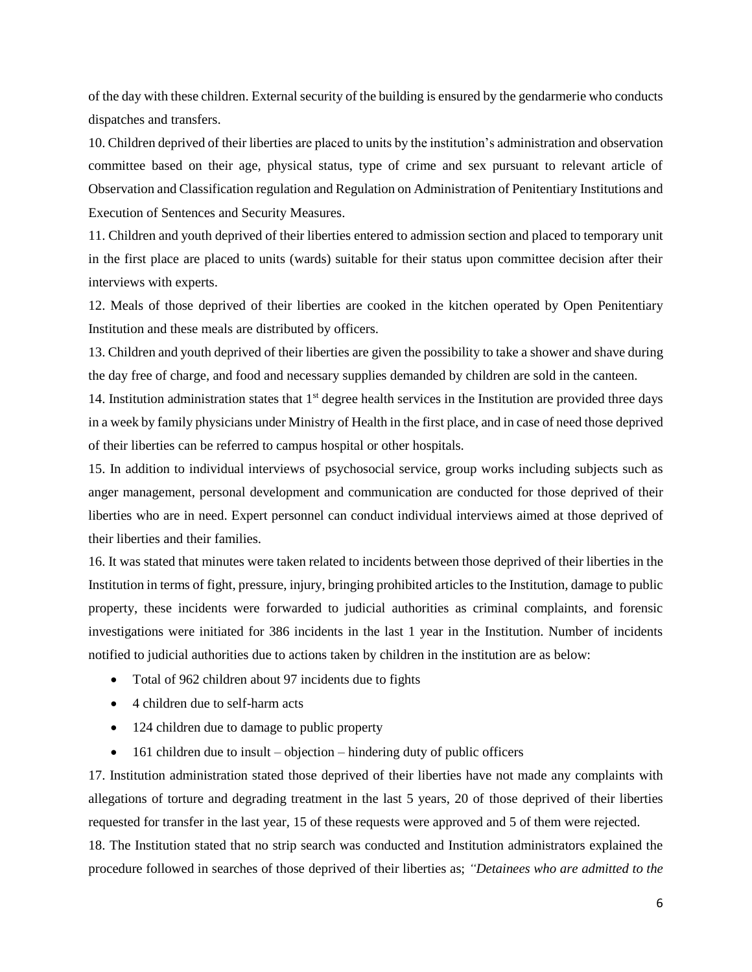of the day with these children. External security of the building is ensured by the gendarmerie who conducts dispatches and transfers.

10. Children deprived of their liberties are placed to units by the institution's administration and observation committee based on their age, physical status, type of crime and sex pursuant to relevant article of Observation and Classification regulation and Regulation on Administration of Penitentiary Institutions and Execution of Sentences and Security Measures.

11. Children and youth deprived of their liberties entered to admission section and placed to temporary unit in the first place are placed to units (wards) suitable for their status upon committee decision after their interviews with experts.

12. Meals of those deprived of their liberties are cooked in the kitchen operated by Open Penitentiary Institution and these meals are distributed by officers.

13. Children and youth deprived of their liberties are given the possibility to take a shower and shave during the day free of charge, and food and necessary supplies demanded by children are sold in the canteen.

14. Institution administration states that  $1<sup>st</sup>$  degree health services in the Institution are provided three days in a week by family physicians under Ministry of Health in the first place, and in case of need those deprived of their liberties can be referred to campus hospital or other hospitals.

15. In addition to individual interviews of psychosocial service, group works including subjects such as anger management, personal development and communication are conducted for those deprived of their liberties who are in need. Expert personnel can conduct individual interviews aimed at those deprived of their liberties and their families.

16. It was stated that minutes were taken related to incidents between those deprived of their liberties in the Institution in terms of fight, pressure, injury, bringing prohibited articles to the Institution, damage to public property, these incidents were forwarded to judicial authorities as criminal complaints, and forensic investigations were initiated for 386 incidents in the last 1 year in the Institution. Number of incidents notified to judicial authorities due to actions taken by children in the institution are as below:

- Total of 962 children about 97 incidents due to fights
- 4 children due to self-harm acts
- 124 children due to damage to public property
- $\bullet$  161 children due to insult objection hindering duty of public officers

17. Institution administration stated those deprived of their liberties have not made any complaints with allegations of torture and degrading treatment in the last 5 years, 20 of those deprived of their liberties requested for transfer in the last year, 15 of these requests were approved and 5 of them were rejected.

18. The Institution stated that no strip search was conducted and Institution administrators explained the procedure followed in searches of those deprived of their liberties as; *"Detainees who are admitted to the*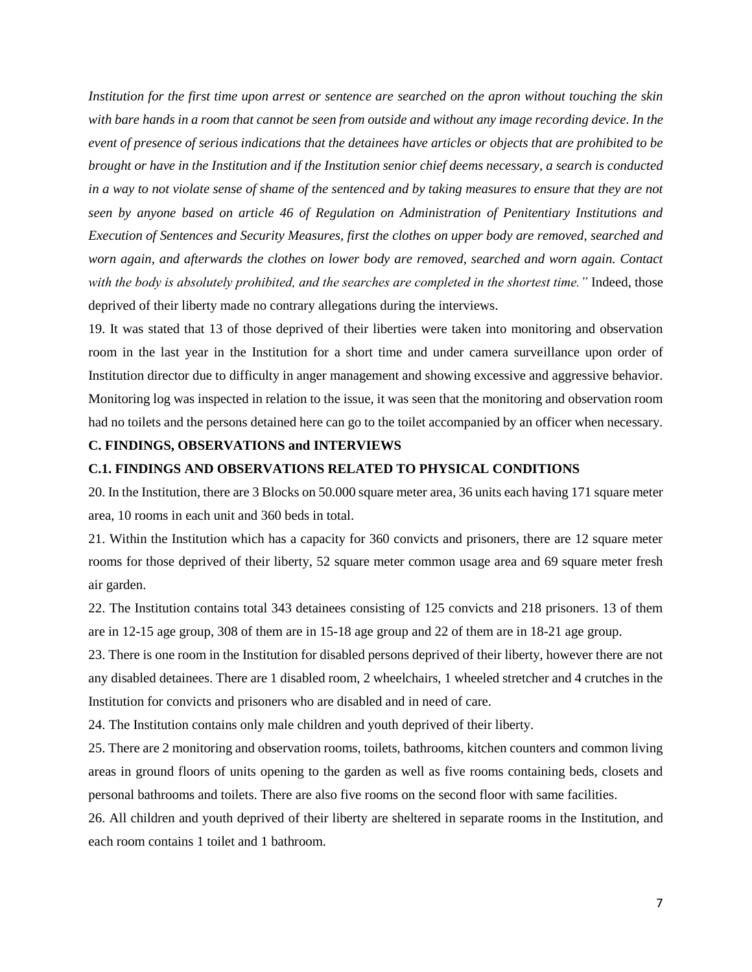*Institution for the first time upon arrest or sentence are searched on the apron without touching the skin with bare hands in a room that cannot be seen from outside and without any image recording device. In the event of presence of serious indications that the detainees have articles or objects that are prohibited to be brought or have in the Institution and if the Institution senior chief deems necessary, a search is conducted in a way to not violate sense of shame of the sentenced and by taking measures to ensure that they are not seen by anyone based on article 46 of Regulation on Administration of Penitentiary Institutions and Execution of Sentences and Security Measures, first the clothes on upper body are removed, searched and worn again, and afterwards the clothes on lower body are removed, searched and worn again. Contact with the body is absolutely prohibited, and the searches are completed in the shortest time."* Indeed, those deprived of their liberty made no contrary allegations during the interviews.

19. It was stated that 13 of those deprived of their liberties were taken into monitoring and observation room in the last year in the Institution for a short time and under camera surveillance upon order of Institution director due to difficulty in anger management and showing excessive and aggressive behavior. Monitoring log was inspected in relation to the issue, it was seen that the monitoring and observation room had no toilets and the persons detained here can go to the toilet accompanied by an officer when necessary.

## <span id="page-6-0"></span>**C. FINDINGS, OBSERVATIONS and INTERVIEWS**

## <span id="page-6-1"></span>**C.1. FINDINGS AND OBSERVATIONS RELATED TO PHYSICAL CONDITIONS**

20. In the Institution, there are 3 Blocks on 50.000 square meter area, 36 units each having 171 square meter area, 10 rooms in each unit and 360 beds in total.

21. Within the Institution which has a capacity for 360 convicts and prisoners, there are 12 square meter rooms for those deprived of their liberty, 52 square meter common usage area and 69 square meter fresh air garden.

22. The Institution contains total 343 detainees consisting of 125 convicts and 218 prisoners. 13 of them are in 12-15 age group, 308 of them are in 15-18 age group and 22 of them are in 18-21 age group.

23. There is one room in the Institution for disabled persons deprived of their liberty, however there are not any disabled detainees. There are 1 disabled room, 2 wheelchairs, 1 wheeled stretcher and 4 crutches in the Institution for convicts and prisoners who are disabled and in need of care.

24. The Institution contains only male children and youth deprived of their liberty.

25. There are 2 monitoring and observation rooms, toilets, bathrooms, kitchen counters and common living areas in ground floors of units opening to the garden as well as five rooms containing beds, closets and personal bathrooms and toilets. There are also five rooms on the second floor with same facilities.

26. All children and youth deprived of their liberty are sheltered in separate rooms in the Institution, and each room contains 1 toilet and 1 bathroom.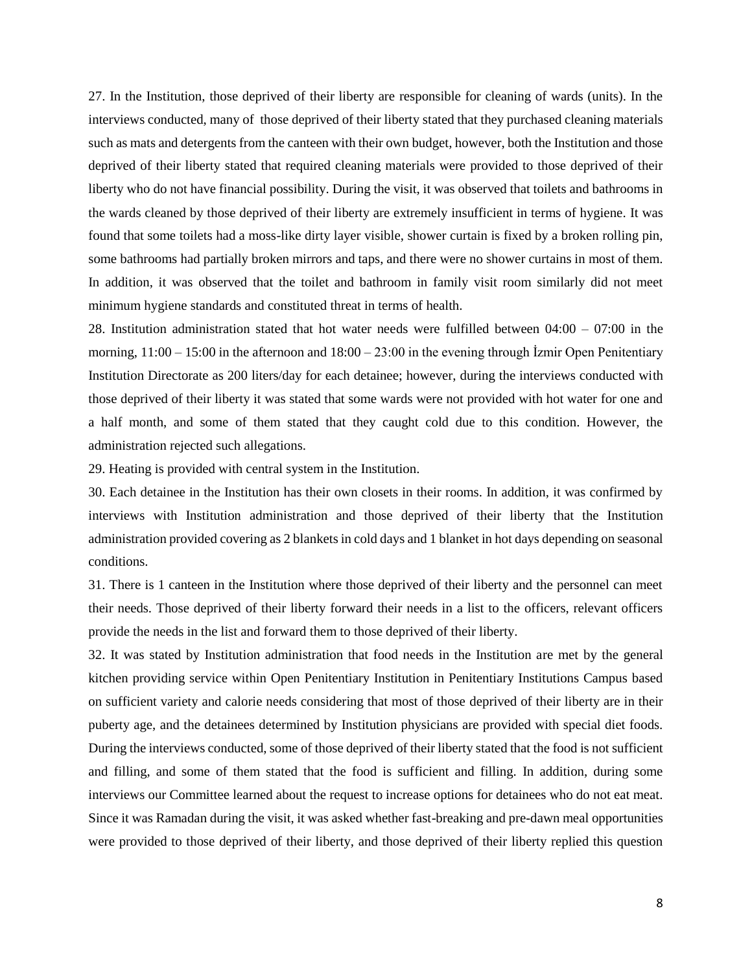27. In the Institution, those deprived of their liberty are responsible for cleaning of wards (units). In the interviews conducted, many of those deprived of their liberty stated that they purchased cleaning materials such as mats and detergents from the canteen with their own budget, however, both the Institution and those deprived of their liberty stated that required cleaning materials were provided to those deprived of their liberty who do not have financial possibility. During the visit, it was observed that toilets and bathrooms in the wards cleaned by those deprived of their liberty are extremely insufficient in terms of hygiene. It was found that some toilets had a moss-like dirty layer visible, shower curtain is fixed by a broken rolling pin, some bathrooms had partially broken mirrors and taps, and there were no shower curtains in most of them. In addition, it was observed that the toilet and bathroom in family visit room similarly did not meet minimum hygiene standards and constituted threat in terms of health.

28. Institution administration stated that hot water needs were fulfilled between 04:00 – 07:00 in the morning,  $11:00 - 15:00$  in the afternoon and  $18:00 - 23:00$  in the evening through Izmir Open Penitentiary Institution Directorate as 200 liters/day for each detainee; however, during the interviews conducted with those deprived of their liberty it was stated that some wards were not provided with hot water for one and a half month, and some of them stated that they caught cold due to this condition. However, the administration rejected such allegations.

29. Heating is provided with central system in the Institution.

30. Each detainee in the Institution has their own closets in their rooms. In addition, it was confirmed by interviews with Institution administration and those deprived of their liberty that the Institution administration provided covering as 2 blankets in cold days and 1 blanket in hot days depending on seasonal conditions.

31. There is 1 canteen in the Institution where those deprived of their liberty and the personnel can meet their needs. Those deprived of their liberty forward their needs in a list to the officers, relevant officers provide the needs in the list and forward them to those deprived of their liberty.

32. It was stated by Institution administration that food needs in the Institution are met by the general kitchen providing service within Open Penitentiary Institution in Penitentiary Institutions Campus based on sufficient variety and calorie needs considering that most of those deprived of their liberty are in their puberty age, and the detainees determined by Institution physicians are provided with special diet foods. During the interviews conducted, some of those deprived of their liberty stated that the food is not sufficient and filling, and some of them stated that the food is sufficient and filling. In addition, during some interviews our Committee learned about the request to increase options for detainees who do not eat meat. Since it was Ramadan during the visit, it was asked whether fast-breaking and pre-dawn meal opportunities were provided to those deprived of their liberty, and those deprived of their liberty replied this question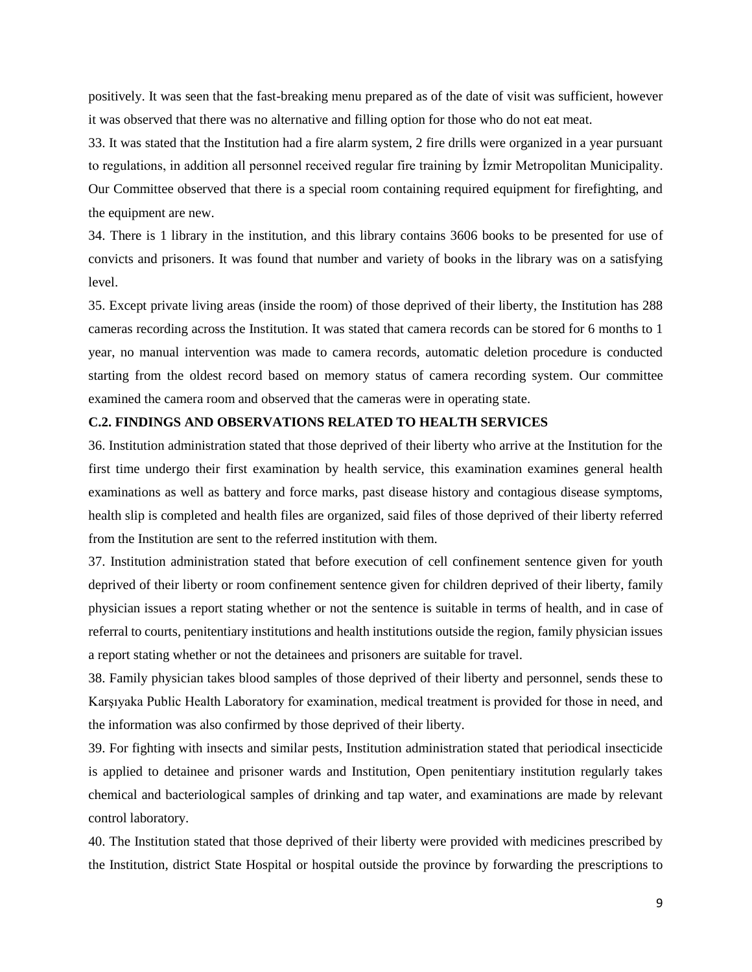positively. It was seen that the fast-breaking menu prepared as of the date of visit was sufficient, however it was observed that there was no alternative and filling option for those who do not eat meat.

33. It was stated that the Institution had a fire alarm system, 2 fire drills were organized in a year pursuant to regulations, in addition all personnel received regular fire training by İzmir Metropolitan Municipality. Our Committee observed that there is a special room containing required equipment for firefighting, and the equipment are new.

34. There is 1 library in the institution, and this library contains 3606 books to be presented for use of convicts and prisoners. It was found that number and variety of books in the library was on a satisfying level.

35. Except private living areas (inside the room) of those deprived of their liberty, the Institution has 288 cameras recording across the Institution. It was stated that camera records can be stored for 6 months to 1 year, no manual intervention was made to camera records, automatic deletion procedure is conducted starting from the oldest record based on memory status of camera recording system. Our committee examined the camera room and observed that the cameras were in operating state.

## <span id="page-8-0"></span>**C.2. FINDINGS AND OBSERVATIONS RELATED TO HEALTH SERVICES**

36. Institution administration stated that those deprived of their liberty who arrive at the Institution for the first time undergo their first examination by health service, this examination examines general health examinations as well as battery and force marks, past disease history and contagious disease symptoms, health slip is completed and health files are organized, said files of those deprived of their liberty referred from the Institution are sent to the referred institution with them.

37. Institution administration stated that before execution of cell confinement sentence given for youth deprived of their liberty or room confinement sentence given for children deprived of their liberty, family physician issues a report stating whether or not the sentence is suitable in terms of health, and in case of referral to courts, penitentiary institutions and health institutions outside the region, family physician issues a report stating whether or not the detainees and prisoners are suitable for travel.

38. Family physician takes blood samples of those deprived of their liberty and personnel, sends these to Karşıyaka Public Health Laboratory for examination, medical treatment is provided for those in need, and the information was also confirmed by those deprived of their liberty.

39. For fighting with insects and similar pests, Institution administration stated that periodical insecticide is applied to detainee and prisoner wards and Institution, Open penitentiary institution regularly takes chemical and bacteriological samples of drinking and tap water, and examinations are made by relevant control laboratory.

40. The Institution stated that those deprived of their liberty were provided with medicines prescribed by the Institution, district State Hospital or hospital outside the province by forwarding the prescriptions to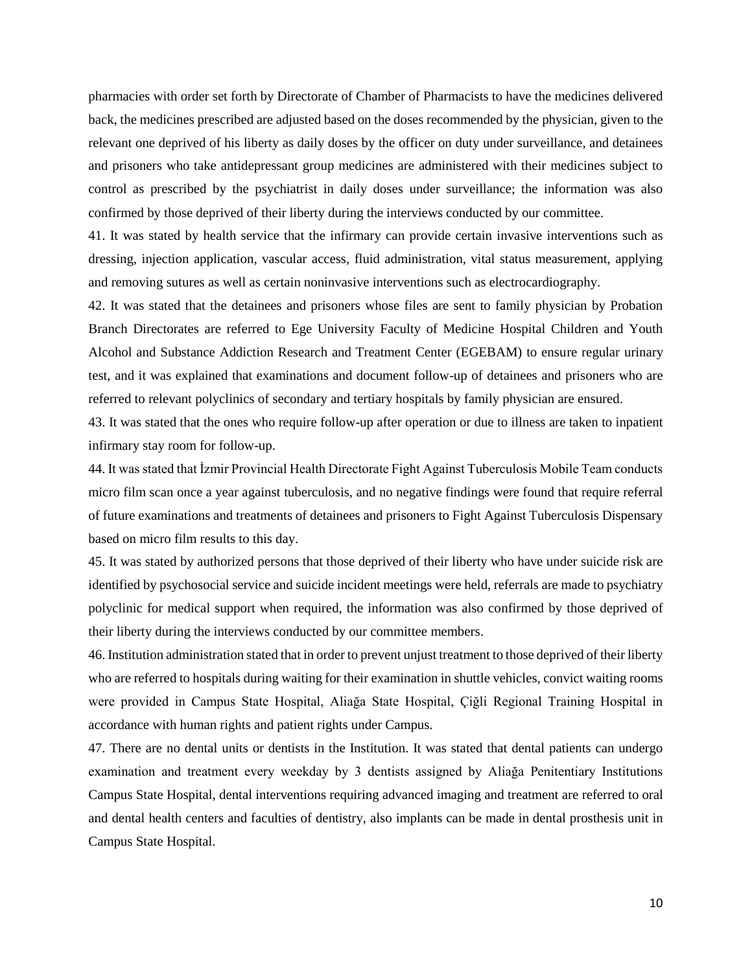pharmacies with order set forth by Directorate of Chamber of Pharmacists to have the medicines delivered back, the medicines prescribed are adjusted based on the doses recommended by the physician, given to the relevant one deprived of his liberty as daily doses by the officer on duty under surveillance, and detainees and prisoners who take antidepressant group medicines are administered with their medicines subject to control as prescribed by the psychiatrist in daily doses under surveillance; the information was also confirmed by those deprived of their liberty during the interviews conducted by our committee.

41. It was stated by health service that the infirmary can provide certain invasive interventions such as dressing, injection application, vascular access, fluid administration, vital status measurement, applying and removing sutures as well as certain noninvasive interventions such as electrocardiography.

42. It was stated that the detainees and prisoners whose files are sent to family physician by Probation Branch Directorates are referred to Ege University Faculty of Medicine Hospital Children and Youth Alcohol and Substance Addiction Research and Treatment Center (EGEBAM) to ensure regular urinary test, and it was explained that examinations and document follow-up of detainees and prisoners who are referred to relevant polyclinics of secondary and tertiary hospitals by family physician are ensured.

43. It was stated that the ones who require follow-up after operation or due to illness are taken to inpatient infirmary stay room for follow-up.

44. It was stated that İzmir Provincial Health Directorate Fight Against Tuberculosis Mobile Team conducts micro film scan once a year against tuberculosis, and no negative findings were found that require referral of future examinations and treatments of detainees and prisoners to Fight Against Tuberculosis Dispensary based on micro film results to this day.

45. It was stated by authorized persons that those deprived of their liberty who have under suicide risk are identified by psychosocial service and suicide incident meetings were held, referrals are made to psychiatry polyclinic for medical support when required, the information was also confirmed by those deprived of their liberty during the interviews conducted by our committee members.

46. Institution administration stated that in order to prevent unjust treatment to those deprived of their liberty who are referred to hospitals during waiting for their examination in shuttle vehicles, convict waiting rooms were provided in Campus State Hospital, Aliağa State Hospital, Çiğli Regional Training Hospital in accordance with human rights and patient rights under Campus.

47. There are no dental units or dentists in the Institution. It was stated that dental patients can undergo examination and treatment every weekday by 3 dentists assigned by Aliağa Penitentiary Institutions Campus State Hospital, dental interventions requiring advanced imaging and treatment are referred to oral and dental health centers and faculties of dentistry, also implants can be made in dental prosthesis unit in Campus State Hospital.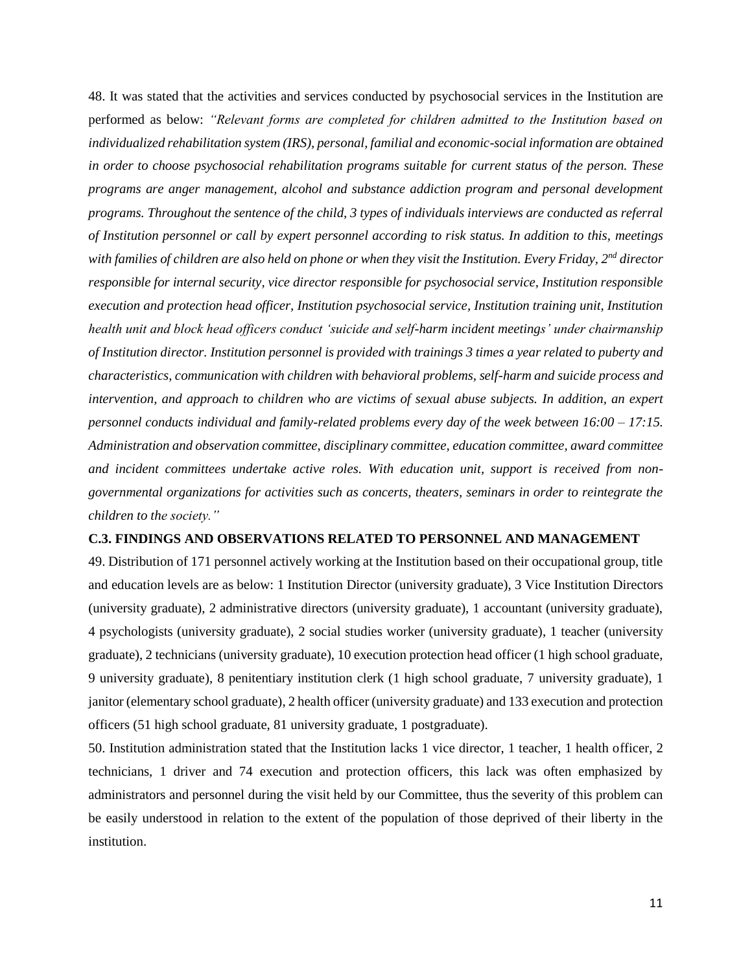48. It was stated that the activities and services conducted by psychosocial services in the Institution are performed as below: *"Relevant forms are completed for children admitted to the Institution based on individualized rehabilitation system (IRS), personal, familial and economic-social information are obtained in order to choose psychosocial rehabilitation programs suitable for current status of the person. These programs are anger management, alcohol and substance addiction program and personal development programs. Throughout the sentence of the child, 3 types of individuals interviews are conducted as referral of Institution personnel or call by expert personnel according to risk status. In addition to this, meetings with families of children are also held on phone or when they visit the Institution. Every Friday, 2nd director responsible for internal security, vice director responsible for psychosocial service, Institution responsible execution and protection head officer, Institution psychosocial service, Institution training unit, Institution health unit and block head officers conduct 'suicide and self-harm incident meetings' under chairmanship of Institution director. Institution personnel is provided with trainings 3 times a year related to puberty and characteristics, communication with children with behavioral problems, self-harm and suicide process and intervention, and approach to children who are victims of sexual abuse subjects. In addition, an expert personnel conducts individual and family-related problems every day of the week between 16:00 – 17:15. Administration and observation committee, disciplinary committee, education committee, award committee and incident committees undertake active roles. With education unit, support is received from nongovernmental organizations for activities such as concerts, theaters, seminars in order to reintegrate the children to the society."*

#### <span id="page-10-0"></span>**C.3. FINDINGS AND OBSERVATIONS RELATED TO PERSONNEL AND MANAGEMENT**

49. Distribution of 171 personnel actively working at the Institution based on their occupational group, title and education levels are as below: 1 Institution Director (university graduate), 3 Vice Institution Directors (university graduate), 2 administrative directors (university graduate), 1 accountant (university graduate), 4 psychologists (university graduate), 2 social studies worker (university graduate), 1 teacher (university graduate), 2 technicians (university graduate), 10 execution protection head officer (1 high school graduate, 9 university graduate), 8 penitentiary institution clerk (1 high school graduate, 7 university graduate), 1 janitor (elementary school graduate), 2 health officer (university graduate) and 133 execution and protection officers (51 high school graduate, 81 university graduate, 1 postgraduate).

50. Institution administration stated that the Institution lacks 1 vice director, 1 teacher, 1 health officer, 2 technicians, 1 driver and 74 execution and protection officers, this lack was often emphasized by administrators and personnel during the visit held by our Committee, thus the severity of this problem can be easily understood in relation to the extent of the population of those deprived of their liberty in the institution.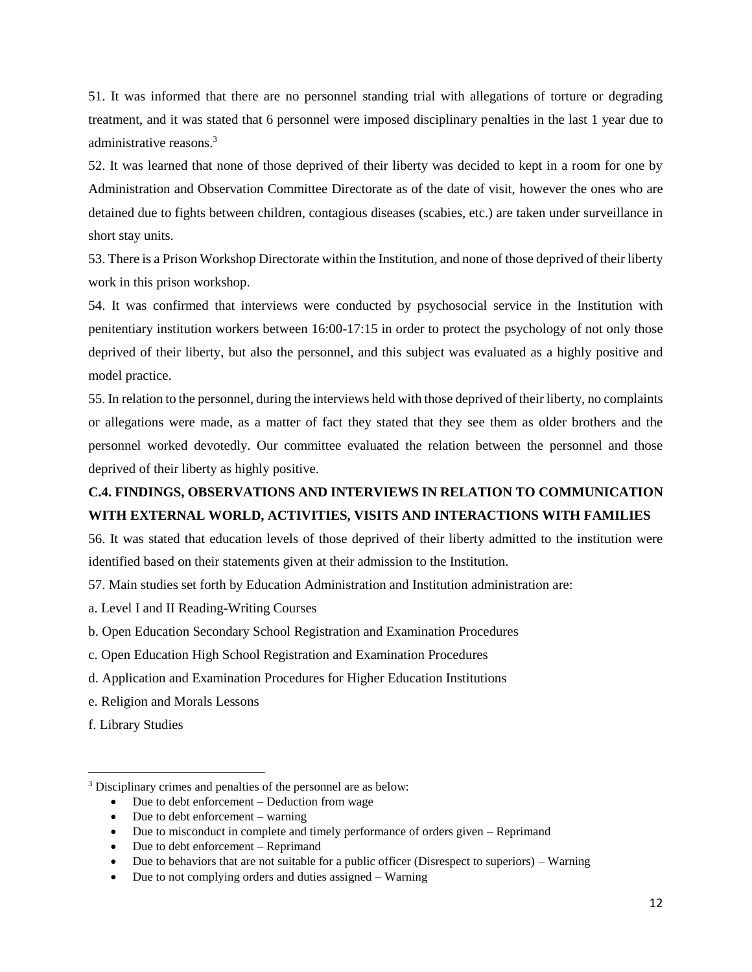51. It was informed that there are no personnel standing trial with allegations of torture or degrading treatment, and it was stated that 6 personnel were imposed disciplinary penalties in the last 1 year due to administrative reasons.<sup>3</sup>

52. It was learned that none of those deprived of their liberty was decided to kept in a room for one by Administration and Observation Committee Directorate as of the date of visit, however the ones who are detained due to fights between children, contagious diseases (scabies, etc.) are taken under surveillance in short stay units.

53. There is a Prison Workshop Directorate within the Institution, and none of those deprived of their liberty work in this prison workshop.

54. It was confirmed that interviews were conducted by psychosocial service in the Institution with penitentiary institution workers between 16:00-17:15 in order to protect the psychology of not only those deprived of their liberty, but also the personnel, and this subject was evaluated as a highly positive and model practice.

55. In relation to the personnel, during the interviews held with those deprived of their liberty, no complaints or allegations were made, as a matter of fact they stated that they see them as older brothers and the personnel worked devotedly. Our committee evaluated the relation between the personnel and those deprived of their liberty as highly positive.

## <span id="page-11-0"></span>**C.4. FINDINGS, OBSERVATIONS AND INTERVIEWS IN RELATION TO COMMUNICATION WITH EXTERNAL WORLD, ACTIVITIES, VISITS AND INTERACTIONS WITH FAMILIES**

56. It was stated that education levels of those deprived of their liberty admitted to the institution were identified based on their statements given at their admission to the Institution.

- 57. Main studies set forth by Education Administration and Institution administration are:
- a. Level I and II Reading-Writing Courses
- b. Open Education Secondary School Registration and Examination Procedures
- c. Open Education High School Registration and Examination Procedures
- d. Application and Examination Procedures for Higher Education Institutions
- e. Religion and Morals Lessons
- f. Library Studies

 $\overline{a}$ 

- Due to debt enforcement Deduction from wage
- Due to debt enforcement warning
- Due to misconduct in complete and timely performance of orders given Reprimand
- Due to debt enforcement Reprimand
- Due to behaviors that are not suitable for a public officer (Disrespect to superiors) Warning
- Due to not complying orders and duties assigned Warning

<sup>3</sup> Disciplinary crimes and penalties of the personnel are as below: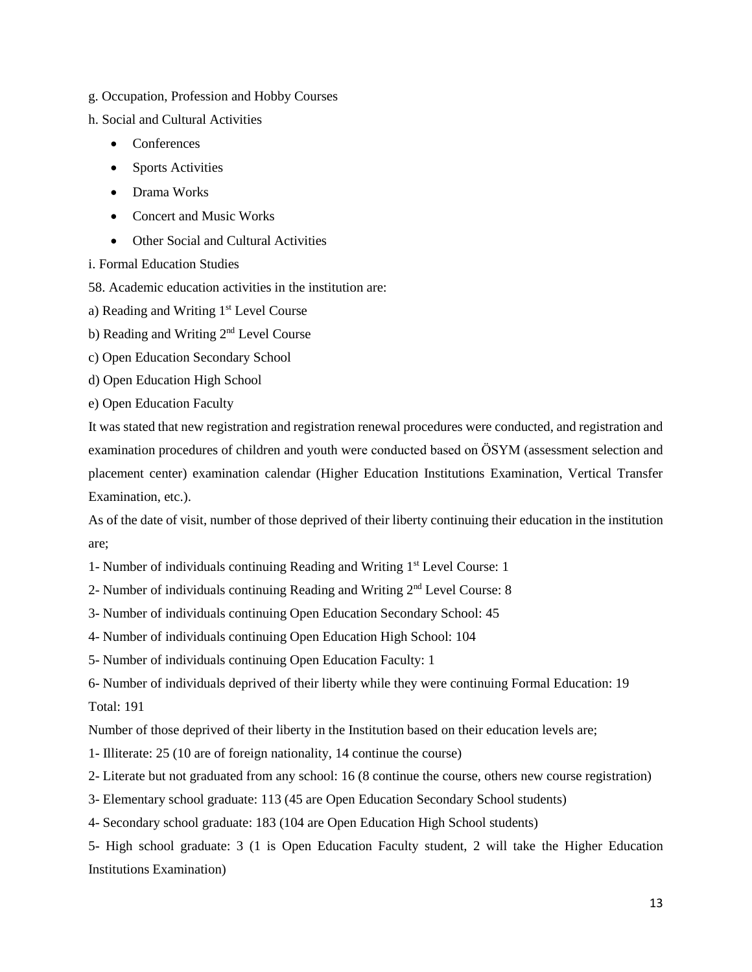- g. Occupation, Profession and Hobby Courses
- h. Social and Cultural Activities
	- Conferences
	- Sports Activities
	- Drama Works
	- Concert and Music Works
	- Other Social and Cultural Activities

i. Formal Education Studies

58. Academic education activities in the institution are:

a) Reading and Writing 1st Level Course

- b) Reading and Writing 2nd Level Course
- c) Open Education Secondary School
- d) Open Education High School
- e) Open Education Faculty

It was stated that new registration and registration renewal procedures were conducted, and registration and examination procedures of children and youth were conducted based on ÖSYM (assessment selection and placement center) examination calendar (Higher Education Institutions Examination, Vertical Transfer Examination, etc.).

As of the date of visit, number of those deprived of their liberty continuing their education in the institution are;

- 1- Number of individuals continuing Reading and Writing 1st Level Course: 1
- 2- Number of individuals continuing Reading and Writing  $2<sup>nd</sup>$  Level Course: 8
- 3- Number of individuals continuing Open Education Secondary School: 45
- 4- Number of individuals continuing Open Education High School: 104
- 5- Number of individuals continuing Open Education Faculty: 1
- 6- Number of individuals deprived of their liberty while they were continuing Formal Education: 19 Total: 191

Number of those deprived of their liberty in the Institution based on their education levels are;

- 1- Illiterate: 25 (10 are of foreign nationality, 14 continue the course)
- 2- Literate but not graduated from any school: 16 (8 continue the course, others new course registration)
- 3- Elementary school graduate: 113 (45 are Open Education Secondary School students)
- 4- Secondary school graduate: 183 (104 are Open Education High School students)

5- High school graduate: 3 (1 is Open Education Faculty student, 2 will take the Higher Education Institutions Examination)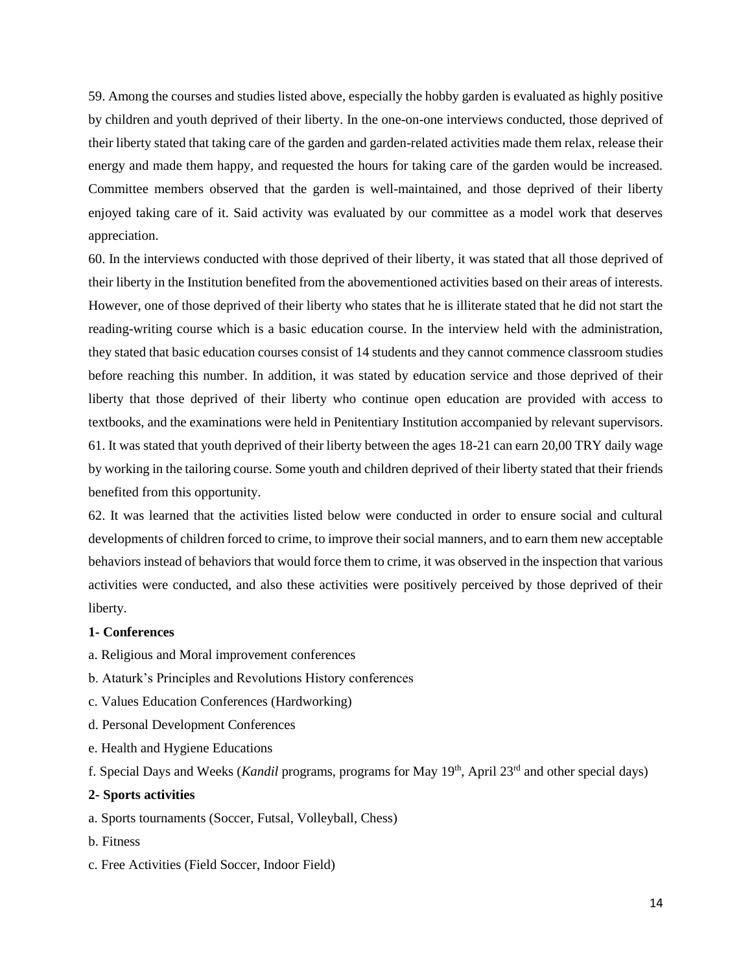59. Among the courses and studies listed above, especially the hobby garden is evaluated as highly positive by children and youth deprived of their liberty. In the one-on-one interviews conducted, those deprived of their liberty stated that taking care of the garden and garden-related activities made them relax, release their energy and made them happy, and requested the hours for taking care of the garden would be increased. Committee members observed that the garden is well-maintained, and those deprived of their liberty enjoyed taking care of it. Said activity was evaluated by our committee as a model work that deserves appreciation.

60. In the interviews conducted with those deprived of their liberty, it was stated that all those deprived of their liberty in the Institution benefited from the abovementioned activities based on their areas of interests. However, one of those deprived of their liberty who states that he is illiterate stated that he did not start the reading-writing course which is a basic education course. In the interview held with the administration, they stated that basic education courses consist of 14 students and they cannot commence classroom studies before reaching this number. In addition, it was stated by education service and those deprived of their liberty that those deprived of their liberty who continue open education are provided with access to textbooks, and the examinations were held in Penitentiary Institution accompanied by relevant supervisors. 61. It was stated that youth deprived of their liberty between the ages 18-21 can earn 20,00 TRY daily wage by working in the tailoring course. Some youth and children deprived of their liberty stated that their friends benefited from this opportunity.

62. It was learned that the activities listed below were conducted in order to ensure social and cultural developments of children forced to crime, to improve their social manners, and to earn them new acceptable behaviors instead of behaviors that would force them to crime, it was observed in the inspection that various activities were conducted, and also these activities were positively perceived by those deprived of their liberty.

## **1- Conferences**

- a. Religious and Moral improvement conferences
- b. Ataturk's Principles and Revolutions History conferences
- c. Values Education Conferences (Hardworking)
- d. Personal Development Conferences
- e. Health and Hygiene Educations

f. Special Days and Weeks (*Kandil* programs, programs for May 19th, April 23rd and other special days)

## **2- Sports activities**

a. Sports tournaments (Soccer, Futsal, Volleyball, Chess)

- b. Fitness
- c. Free Activities (Field Soccer, Indoor Field)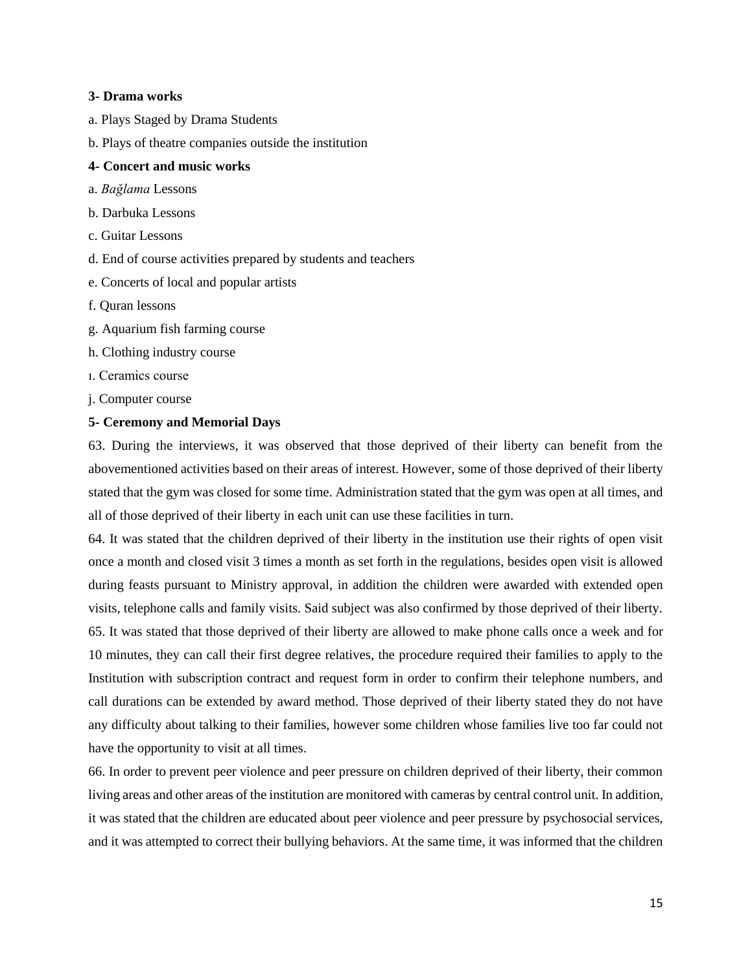## **3- Drama works**

- a. Plays Staged by Drama Students
- b. Plays of theatre companies outside the institution

## **4- Concert and music works**

- a. *Bağlama* Lessons
- b. Darbuka Lessons
- c. Guitar Lessons
- d. End of course activities prepared by students and teachers
- e. Concerts of local and popular artists
- f. Quran lessons
- g. Aquarium fish farming course
- h. Clothing industry course
- ı. Ceramics course
- j. Computer course

## **5- Ceremony and Memorial Days**

63. During the interviews, it was observed that those deprived of their liberty can benefit from the abovementioned activities based on their areas of interest. However, some of those deprived of their liberty stated that the gym was closed for some time. Administration stated that the gym was open at all times, and all of those deprived of their liberty in each unit can use these facilities in turn.

64. It was stated that the children deprived of their liberty in the institution use their rights of open visit once a month and closed visit 3 times a month as set forth in the regulations, besides open visit is allowed during feasts pursuant to Ministry approval, in addition the children were awarded with extended open visits, telephone calls and family visits. Said subject was also confirmed by those deprived of their liberty. 65. It was stated that those deprived of their liberty are allowed to make phone calls once a week and for 10 minutes, they can call their first degree relatives, the procedure required their families to apply to the Institution with subscription contract and request form in order to confirm their telephone numbers, and call durations can be extended by award method. Those deprived of their liberty stated they do not have any difficulty about talking to their families, however some children whose families live too far could not have the opportunity to visit at all times.

66. In order to prevent peer violence and peer pressure on children deprived of their liberty, their common living areas and other areas of the institution are monitored with cameras by central control unit. In addition, it was stated that the children are educated about peer violence and peer pressure by psychosocial services, and it was attempted to correct their bullying behaviors. At the same time, it was informed that the children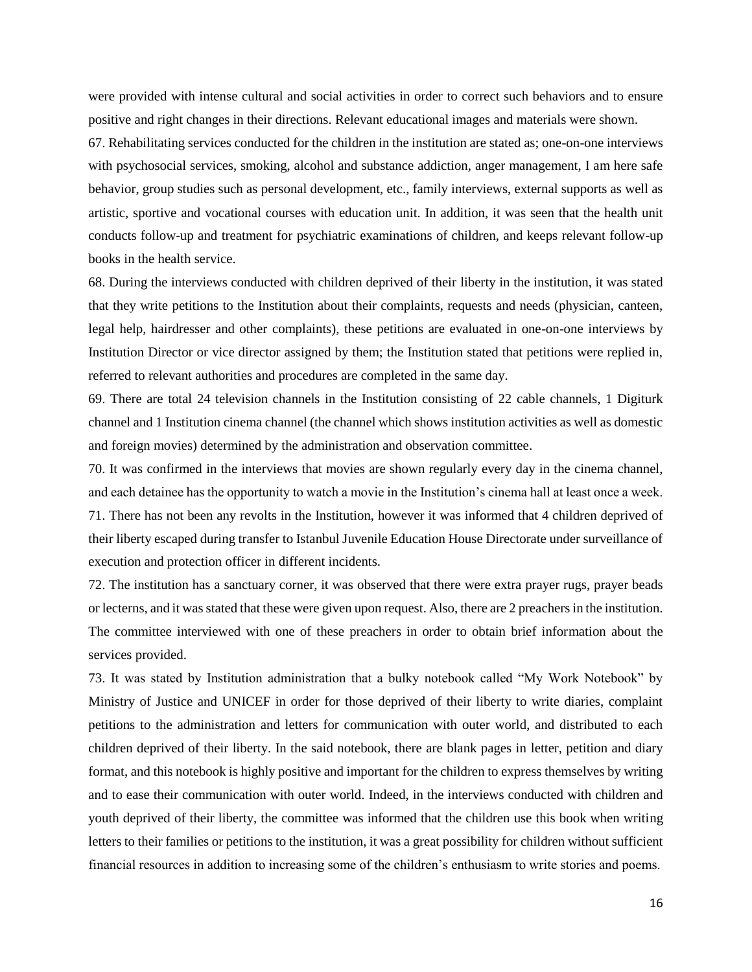were provided with intense cultural and social activities in order to correct such behaviors and to ensure positive and right changes in their directions. Relevant educational images and materials were shown.

67. Rehabilitating services conducted for the children in the institution are stated as; one-on-one interviews with psychosocial services, smoking, alcohol and substance addiction, anger management, I am here safe behavior, group studies such as personal development, etc., family interviews, external supports as well as artistic, sportive and vocational courses with education unit. In addition, it was seen that the health unit conducts follow-up and treatment for psychiatric examinations of children, and keeps relevant follow-up books in the health service.

68. During the interviews conducted with children deprived of their liberty in the institution, it was stated that they write petitions to the Institution about their complaints, requests and needs (physician, canteen, legal help, hairdresser and other complaints), these petitions are evaluated in one-on-one interviews by Institution Director or vice director assigned by them; the Institution stated that petitions were replied in, referred to relevant authorities and procedures are completed in the same day.

69. There are total 24 television channels in the Institution consisting of 22 cable channels, 1 Digiturk channel and 1 Institution cinema channel (the channel which shows institution activities as well as domestic and foreign movies) determined by the administration and observation committee.

70. It was confirmed in the interviews that movies are shown regularly every day in the cinema channel, and each detainee has the opportunity to watch a movie in the Institution's cinema hall at least once a week. 71. There has not been any revolts in the Institution, however it was informed that 4 children deprived of their liberty escaped during transfer to Istanbul Juvenile Education House Directorate under surveillance of execution and protection officer in different incidents.

72. The institution has a sanctuary corner, it was observed that there were extra prayer rugs, prayer beads or lecterns, and it was stated that these were given upon request. Also, there are 2 preachers in the institution. The committee interviewed with one of these preachers in order to obtain brief information about the services provided.

73. It was stated by Institution administration that a bulky notebook called "My Work Notebook" by Ministry of Justice and UNICEF in order for those deprived of their liberty to write diaries, complaint petitions to the administration and letters for communication with outer world, and distributed to each children deprived of their liberty. In the said notebook, there are blank pages in letter, petition and diary format, and this notebook is highly positive and important for the children to express themselves by writing and to ease their communication with outer world. Indeed, in the interviews conducted with children and youth deprived of their liberty, the committee was informed that the children use this book when writing letters to their families or petitions to the institution, it was a great possibility for children without sufficient financial resources in addition to increasing some of the children's enthusiasm to write stories and poems.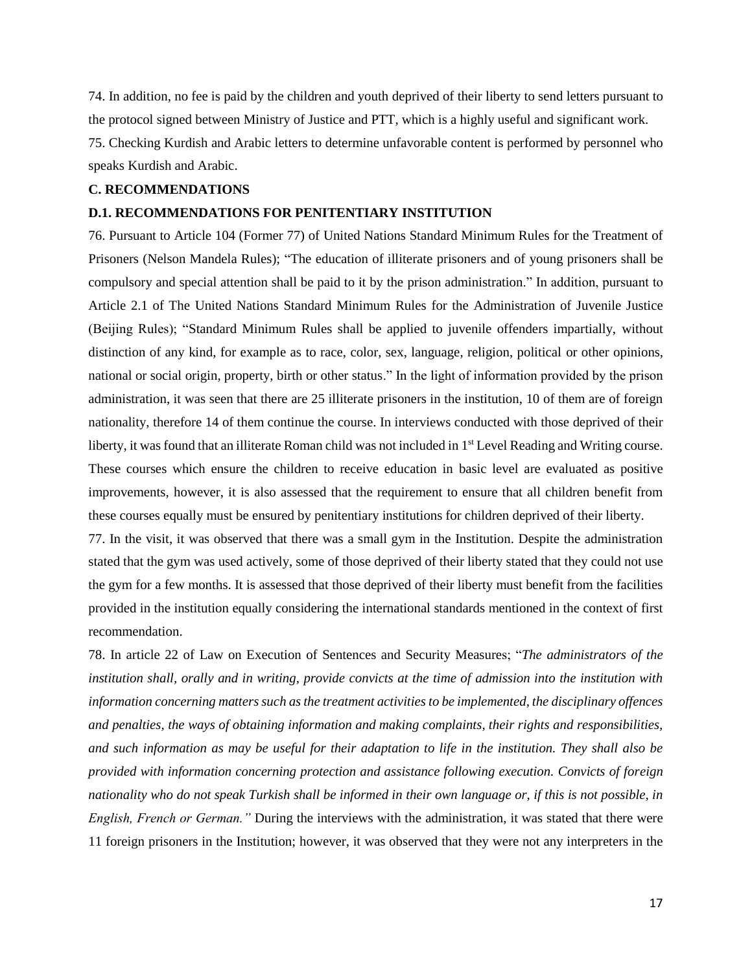74. In addition, no fee is paid by the children and youth deprived of their liberty to send letters pursuant to the protocol signed between Ministry of Justice and PTT, which is a highly useful and significant work. 75. Checking Kurdish and Arabic letters to determine unfavorable content is performed by personnel who speaks Kurdish and Arabic.

## **C. RECOMMENDATIONS**

## **D.1. RECOMMENDATIONS FOR PENITENTIARY INSTITUTION**

76. Pursuant to Article 104 (Former 77) of United Nations Standard Minimum Rules for the Treatment of Prisoners (Nelson Mandela Rules); "The education of illiterate prisoners and of young prisoners shall be compulsory and special attention shall be paid to it by the prison administration." In addition, pursuant to Article 2.1 of The United Nations Standard Minimum Rules for the Administration of Juvenile Justice (Beijing Rules); "Standard Minimum Rules shall be applied to juvenile offenders impartially, without distinction of any kind, for example as to race, color, sex, language, religion, political or other opinions, national or social origin, property, birth or other status." In the light of information provided by the prison administration, it was seen that there are 25 illiterate prisoners in the institution, 10 of them are of foreign nationality, therefore 14 of them continue the course. In interviews conducted with those deprived of their liberty, it was found that an illiterate Roman child was not included in 1<sup>st</sup> Level Reading and Writing course. These courses which ensure the children to receive education in basic level are evaluated as positive improvements, however, it is also assessed that the requirement to ensure that all children benefit from these courses equally must be ensured by penitentiary institutions for children deprived of their liberty.

77. In the visit, it was observed that there was a small gym in the Institution. Despite the administration stated that the gym was used actively, some of those deprived of their liberty stated that they could not use the gym for a few months. It is assessed that those deprived of their liberty must benefit from the facilities provided in the institution equally considering the international standards mentioned in the context of first recommendation.

78. In article 22 of Law on Execution of Sentences and Security Measures; "*The administrators of the institution shall, orally and in writing, provide convicts at the time of admission into the institution with information concerning matters such as the treatment activities to be implemented, the disciplinary offences and penalties, the ways of obtaining information and making complaints, their rights and responsibilities, and such information as may be useful for their adaptation to life in the institution. They shall also be provided with information concerning protection and assistance following execution. Convicts of foreign nationality who do not speak Turkish shall be informed in their own language or, if this is not possible, in English, French or German."* During the interviews with the administration, it was stated that there were 11 foreign prisoners in the Institution; however, it was observed that they were not any interpreters in the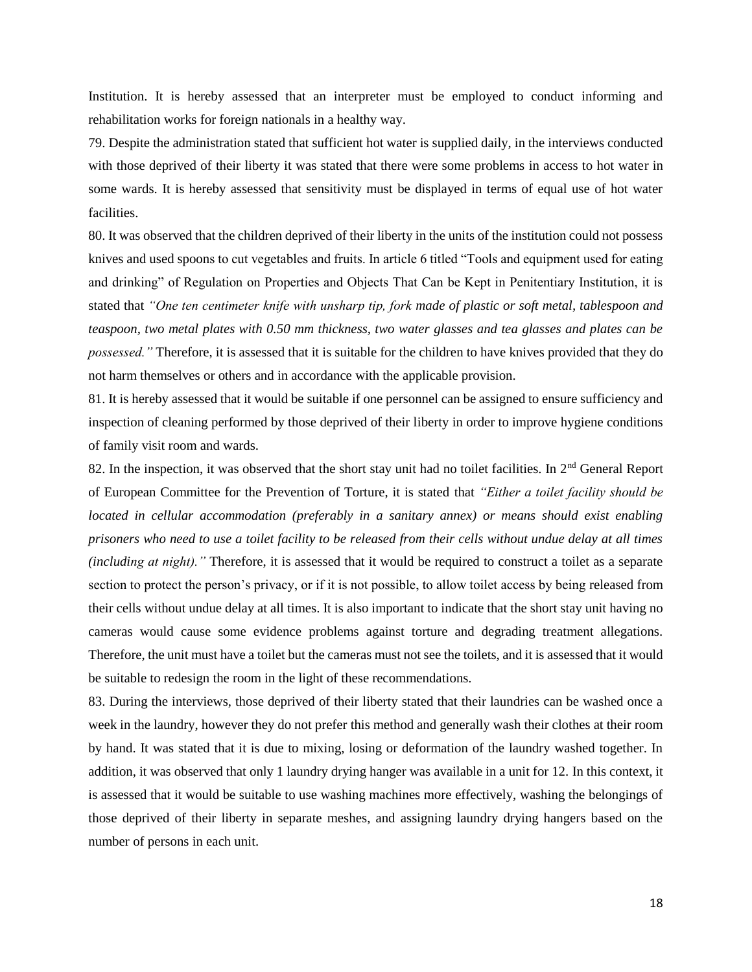Institution. It is hereby assessed that an interpreter must be employed to conduct informing and rehabilitation works for foreign nationals in a healthy way.

79. Despite the administration stated that sufficient hot water is supplied daily, in the interviews conducted with those deprived of their liberty it was stated that there were some problems in access to hot water in some wards. It is hereby assessed that sensitivity must be displayed in terms of equal use of hot water facilities.

80. It was observed that the children deprived of their liberty in the units of the institution could not possess knives and used spoons to cut vegetables and fruits. In article 6 titled "Tools and equipment used for eating and drinking" of Regulation on Properties and Objects That Can be Kept in Penitentiary Institution, it is stated that *"One ten centimeter knife with unsharp tip, fork made of plastic or soft metal, tablespoon and teaspoon, two metal plates with 0.50 mm thickness, two water glasses and tea glasses and plates can be possessed."* Therefore, it is assessed that it is suitable for the children to have knives provided that they do not harm themselves or others and in accordance with the applicable provision.

81. It is hereby assessed that it would be suitable if one personnel can be assigned to ensure sufficiency and inspection of cleaning performed by those deprived of their liberty in order to improve hygiene conditions of family visit room and wards.

82. In the inspection, it was observed that the short stay unit had no toilet facilities. In 2<sup>nd</sup> General Report of European Committee for the Prevention of Torture, it is stated that *"Either a toilet facility should be located in cellular accommodation (preferably in a sanitary annex) or means should exist enabling prisoners who need to use a toilet facility to be released from their cells without undue delay at all times (including at night).*" Therefore, it is assessed that it would be required to construct a toilet as a separate section to protect the person's privacy, or if it is not possible, to allow toilet access by being released from their cells without undue delay at all times. It is also important to indicate that the short stay unit having no cameras would cause some evidence problems against torture and degrading treatment allegations. Therefore, the unit must have a toilet but the cameras must not see the toilets, and it is assessed that it would be suitable to redesign the room in the light of these recommendations.

83. During the interviews, those deprived of their liberty stated that their laundries can be washed once a week in the laundry, however they do not prefer this method and generally wash their clothes at their room by hand. It was stated that it is due to mixing, losing or deformation of the laundry washed together. In addition, it was observed that only 1 laundry drying hanger was available in a unit for 12. In this context, it is assessed that it would be suitable to use washing machines more effectively, washing the belongings of those deprived of their liberty in separate meshes, and assigning laundry drying hangers based on the number of persons in each unit.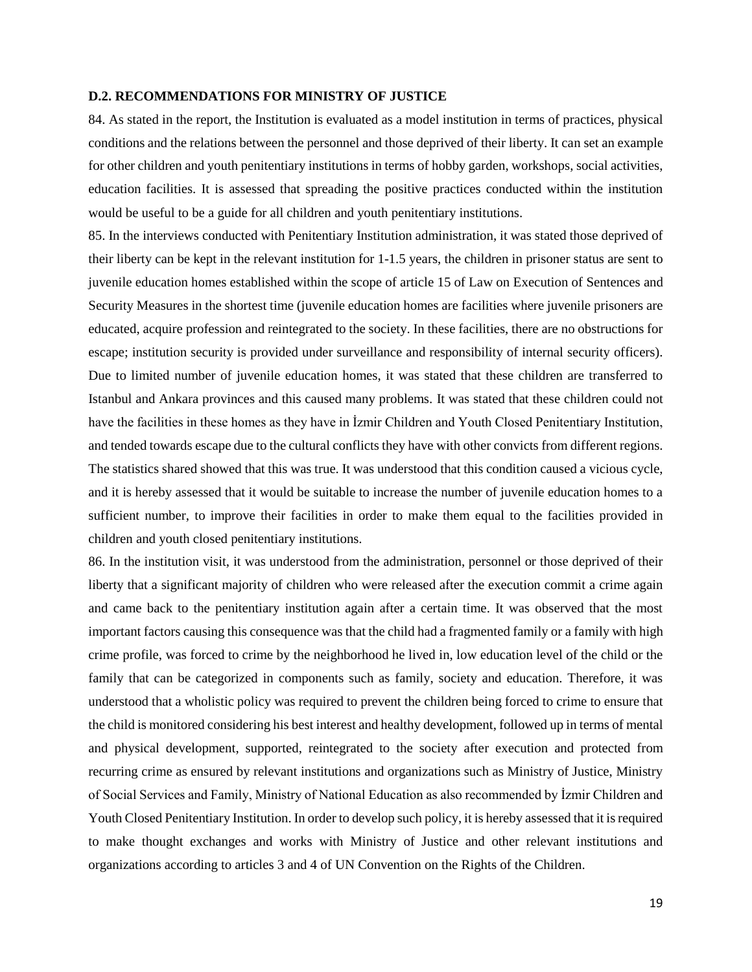#### **D.2. RECOMMENDATIONS FOR MINISTRY OF JUSTICE**

84. As stated in the report, the Institution is evaluated as a model institution in terms of practices, physical conditions and the relations between the personnel and those deprived of their liberty. It can set an example for other children and youth penitentiary institutions in terms of hobby garden, workshops, social activities, education facilities. It is assessed that spreading the positive practices conducted within the institution would be useful to be a guide for all children and youth penitentiary institutions.

85. In the interviews conducted with Penitentiary Institution administration, it was stated those deprived of their liberty can be kept in the relevant institution for 1-1.5 years, the children in prisoner status are sent to juvenile education homes established within the scope of article 15 of Law on Execution of Sentences and Security Measures in the shortest time (juvenile education homes are facilities where juvenile prisoners are educated, acquire profession and reintegrated to the society. In these facilities, there are no obstructions for escape; institution security is provided under surveillance and responsibility of internal security officers). Due to limited number of juvenile education homes, it was stated that these children are transferred to Istanbul and Ankara provinces and this caused many problems. It was stated that these children could not have the facilities in these homes as they have in İzmir Children and Youth Closed Penitentiary Institution, and tended towards escape due to the cultural conflicts they have with other convicts from different regions. The statistics shared showed that this was true. It was understood that this condition caused a vicious cycle, and it is hereby assessed that it would be suitable to increase the number of juvenile education homes to a sufficient number, to improve their facilities in order to make them equal to the facilities provided in children and youth closed penitentiary institutions.

86. In the institution visit, it was understood from the administration, personnel or those deprived of their liberty that a significant majority of children who were released after the execution commit a crime again and came back to the penitentiary institution again after a certain time. It was observed that the most important factors causing this consequence was that the child had a fragmented family or a family with high crime profile, was forced to crime by the neighborhood he lived in, low education level of the child or the family that can be categorized in components such as family, society and education. Therefore, it was understood that a wholistic policy was required to prevent the children being forced to crime to ensure that the child is monitored considering his best interest and healthy development, followed up in terms of mental and physical development, supported, reintegrated to the society after execution and protected from recurring crime as ensured by relevant institutions and organizations such as Ministry of Justice, Ministry of Social Services and Family, Ministry of National Education as also recommended by İzmir Children and Youth Closed Penitentiary Institution. In order to develop such policy, it is hereby assessed that it is required to make thought exchanges and works with Ministry of Justice and other relevant institutions and organizations according to articles 3 and 4 of UN Convention on the Rights of the Children.